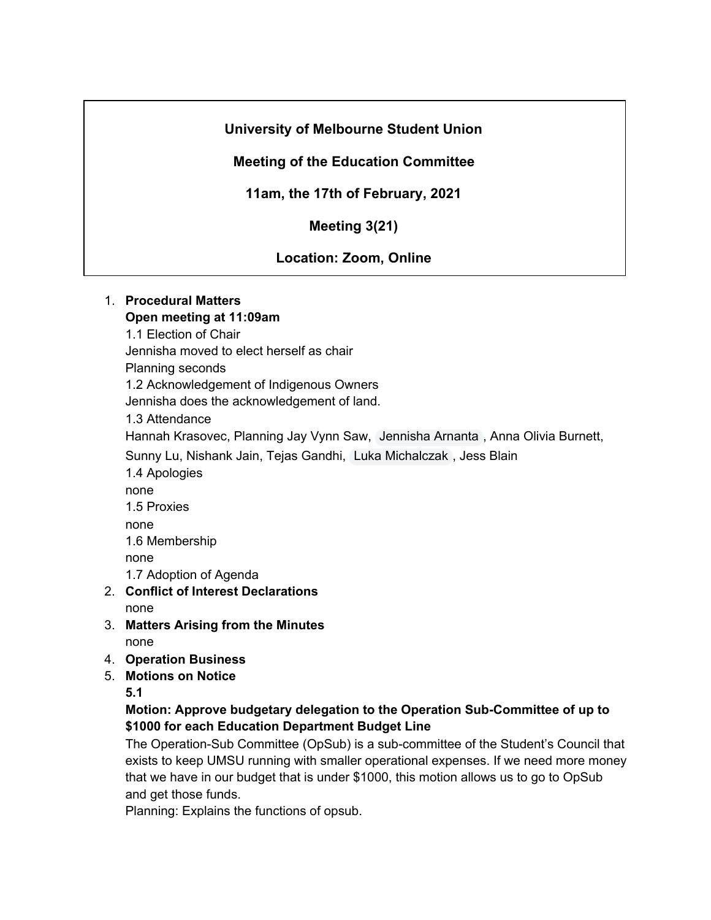# **University of Melbourne Student Union**

# **Meeting of the Education Committee**

# **11am, the 17th of February, 2021**

# **Meeting 3(21)**

# **Location: Zoom, Online**

#### 1. **Procedural Matters Open meeting at 11:09am**

1.1 Election of Chair

Jennisha moved to elect herself as chair

Planning seconds

1.2 Acknowledgement of Indigenous Owners

Jennisha does the acknowledgement of land.

1.3 Attendance

Hannah Krasovec, Planning Jay Vynn Saw, Jennisha Arnanta , Anna Olivia Burnett,

Sunny Lu, Nishank Jain, Tejas Gandhi, Luka Michalczak , Jess Blain

- 1.4 Apologies
- none

1.5 Proxies

none

1.6 Membership

none

1.7 Adoption of Agenda

- 2. **Conflict of Interest Declarations** none
- 3. **Matters Arising from the Minutes** none
- 4. **Operation Business**
- 5. **Motions on Notice**

**5.1**

### **Motion: Approve budgetary delegation to the Operation Sub-Committee of up to \$1000 for each Education Department Budget Line**

The Operation-Sub Committee (OpSub) is a sub-committee of the Student's Council that exists to keep UMSU running with smaller operational expenses. If we need more money that we have in our budget that is under \$1000, this motion allows us to go to OpSub and get those funds.

Planning: Explains the functions of opsub.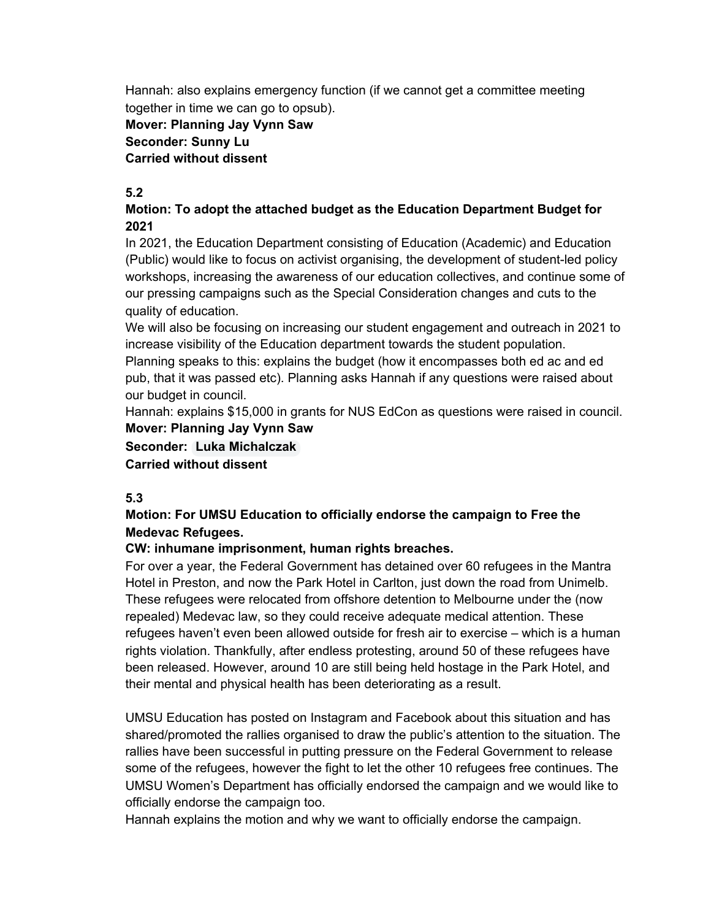Hannah: also explains emergency function (if we cannot get a committee meeting together in time we can go to opsub).

# **Mover: Planning Jay Vynn Saw Seconder: Sunny Lu Carried without dissent**

## **5.2**

#### **Motion: To adopt the attached budget as the Education Department Budget for 2021**

In 2021, the Education Department consisting of Education (Academic) and Education (Public) would like to focus on activist organising, the development of student-led policy workshops, increasing the awareness of our education collectives, and continue some of our pressing campaigns such as the Special Consideration changes and cuts to the quality of education.

We will also be focusing on increasing our student engagement and outreach in 2021 to increase visibility of the Education department towards the student population. Planning speaks to this: explains the budget (how it encompasses both ed ac and ed pub, that it was passed etc). Planning asks Hannah if any questions were raised about our budget in council.

Hannah: explains \$15,000 in grants for NUS EdCon as questions were raised in council. **Mover: Planning Jay Vynn Saw**

**Seconder: Luka Michalczak Carried without dissent**

#### **5.3**

### **Motion: For UMSU Education to officially endorse the campaign to Free the Medevac Refugees.**

#### **CW: inhumane imprisonment, human rights breaches.**

For over a year, the Federal Government has detained over 60 refugees in the Mantra Hotel in Preston, and now the Park Hotel in Carlton, just down the road from Unimelb. These refugees were relocated from offshore detention to Melbourne under the (now repealed) Medevac law, so they could receive adequate medical attention. These refugees haven't even been allowed outside for fresh air to exercise – which is a human rights violation. Thankfully, after endless protesting, around 50 of these refugees have been released. However, around 10 are still being held hostage in the Park Hotel, and their mental and physical health has been deteriorating as a result.

UMSU Education has posted on Instagram and Facebook about this situation and has shared/promoted the rallies organised to draw the public's attention to the situation. The rallies have been successful in putting pressure on the Federal Government to release some of the refugees, however the fight to let the other 10 refugees free continues. The UMSU Women's Department has officially endorsed the campaign and we would like to officially endorse the campaign too.

Hannah explains the motion and why we want to officially endorse the campaign.